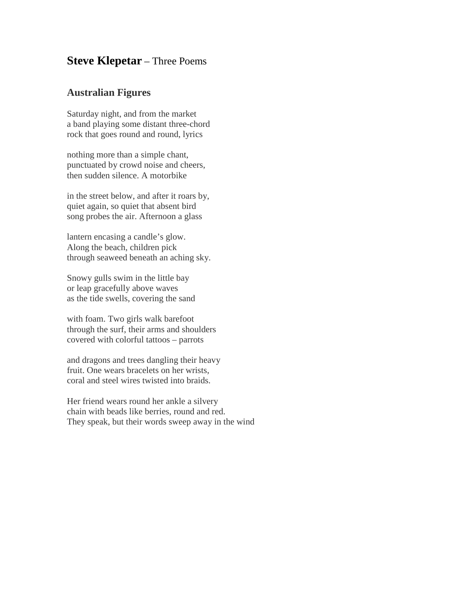## **Steve Klepetar** – Three Poems

## **Australian Figures**

Saturday night, and from the market a band playing some distant three-chord rock that goes round and round, lyrics

nothing more than a simple chant, punctuated by crowd noise and cheers, then sudden silence. A motorbike

in the street below, and after it roars by, quiet again, so quiet that absent bird song probes the air. Afternoon a glass

lantern encasing a candle's glow. Along the beach, children pick through seaweed beneath an aching sky.

Snowy gulls swim in the little bay or leap gracefully above waves as the tide swells, covering the sand

with foam. Two girls walk barefoot through the surf, their arms and shoulders covered with colorful tattoos – parrots

and dragons and trees dangling their heavy fruit. One wears bracelets on her wrists, coral and steel wires twisted into braids.

Her friend wears round her ankle a silvery chain with beads like berries, round and red. They speak, but their words sweep away in the wind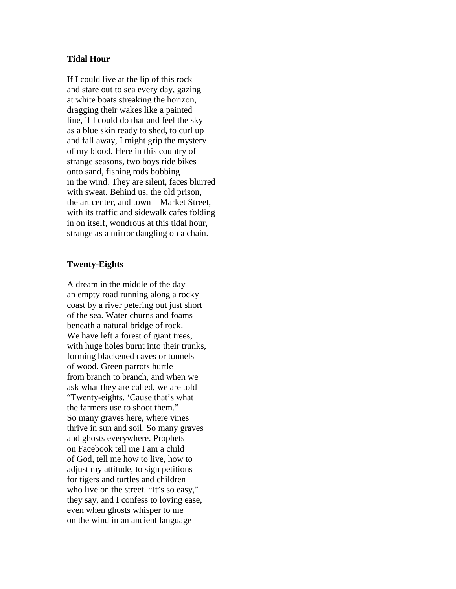## **Tidal Hour**

If I could live at the lip of this rock and stare out to sea every day, gazing at white boats streaking the horizon, dragging their wakes like a painted line, if I could do that and feel the sky as a blue skin ready to shed, to curl up and fall away, I might grip the mystery of my blood. Here in this country of strange seasons, two boys ride bikes onto sand, fishing rods bobbing in the wind. They are silent, faces blurred with sweat. Behind us, the old prison, the art center, and town – Market Street, with its traffic and sidewalk cafes folding in on itself, wondrous at this tidal hour, strange as a mirror dangling on a chain.

## **Twenty-Eights**

A dream in the middle of the day – an empty road running along a rocky coast by a river petering out just short of the sea. Water churns and foams beneath a natural bridge of rock. We have left a forest of giant trees, with huge holes burnt into their trunks, forming blackened caves or tunnels of wood. Green parrots hurtle from branch to branch, and when we ask what they are called, we are told "Twenty-eights. 'Cause that's what the farmers use to shoot them." So many graves here, where vines thrive in sun and soil. So many graves and ghosts everywhere. Prophets on Facebook tell me I am a child of God, tell me how to live, how to adjust my attitude, to sign petitions for tigers and turtles and children who live on the street. "It's so easy," they say, and I confess to loving ease, even when ghosts whisper to me on the wind in an ancient language